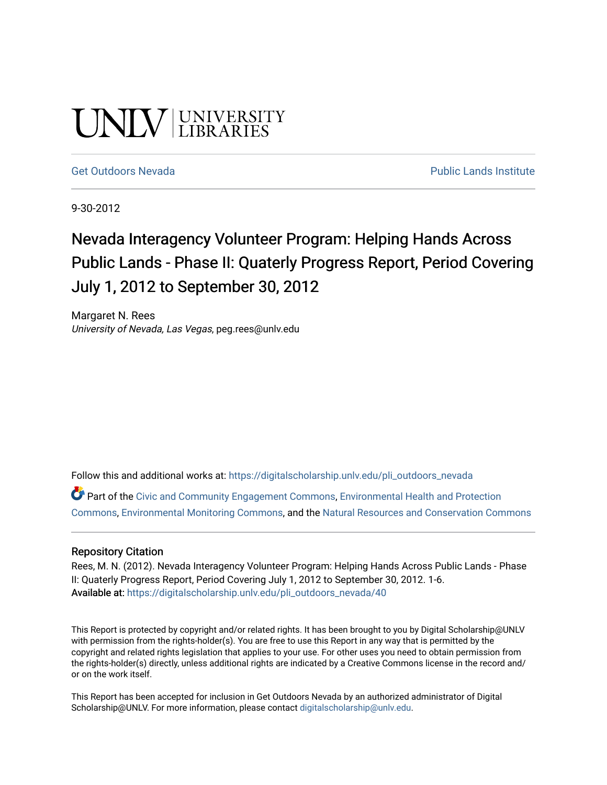# UNIV UNIVERSITY

#### [Get Outdoors Nevada](https://digitalscholarship.unlv.edu/pli_outdoors_nevada) **Public Lands Institute** Public Lands Institute

9-30-2012

## Nevada Interagency Volunteer Program: Helping Hands Across Public Lands - Phase II: Quaterly Progress Report, Period Covering July 1, 2012 to September 30, 2012

Margaret N. Rees University of Nevada, Las Vegas, peg.rees@unlv.edu

Follow this and additional works at: [https://digitalscholarship.unlv.edu/pli\\_outdoors\\_nevada](https://digitalscholarship.unlv.edu/pli_outdoors_nevada?utm_source=digitalscholarship.unlv.edu%2Fpli_outdoors_nevada%2F40&utm_medium=PDF&utm_campaign=PDFCoverPages)

Part of the [Civic and Community Engagement Commons](http://network.bepress.com/hgg/discipline/1028?utm_source=digitalscholarship.unlv.edu%2Fpli_outdoors_nevada%2F40&utm_medium=PDF&utm_campaign=PDFCoverPages), [Environmental Health and Protection](http://network.bepress.com/hgg/discipline/172?utm_source=digitalscholarship.unlv.edu%2Fpli_outdoors_nevada%2F40&utm_medium=PDF&utm_campaign=PDFCoverPages)  [Commons](http://network.bepress.com/hgg/discipline/172?utm_source=digitalscholarship.unlv.edu%2Fpli_outdoors_nevada%2F40&utm_medium=PDF&utm_campaign=PDFCoverPages), [Environmental Monitoring Commons,](http://network.bepress.com/hgg/discipline/931?utm_source=digitalscholarship.unlv.edu%2Fpli_outdoors_nevada%2F40&utm_medium=PDF&utm_campaign=PDFCoverPages) and the [Natural Resources and Conservation Commons](http://network.bepress.com/hgg/discipline/168?utm_source=digitalscholarship.unlv.edu%2Fpli_outdoors_nevada%2F40&utm_medium=PDF&utm_campaign=PDFCoverPages)

#### Repository Citation

Rees, M. N. (2012). Nevada Interagency Volunteer Program: Helping Hands Across Public Lands - Phase II: Quaterly Progress Report, Period Covering July 1, 2012 to September 30, 2012. 1-6. Available at: [https://digitalscholarship.unlv.edu/pli\\_outdoors\\_nevada/40](https://digitalscholarship.unlv.edu/pli_outdoors_nevada/40) 

This Report is protected by copyright and/or related rights. It has been brought to you by Digital Scholarship@UNLV with permission from the rights-holder(s). You are free to use this Report in any way that is permitted by the copyright and related rights legislation that applies to your use. For other uses you need to obtain permission from the rights-holder(s) directly, unless additional rights are indicated by a Creative Commons license in the record and/ or on the work itself.

This Report has been accepted for inclusion in Get Outdoors Nevada by an authorized administrator of Digital Scholarship@UNLV. For more information, please contact [digitalscholarship@unlv.edu.](mailto:digitalscholarship@unlv.edu)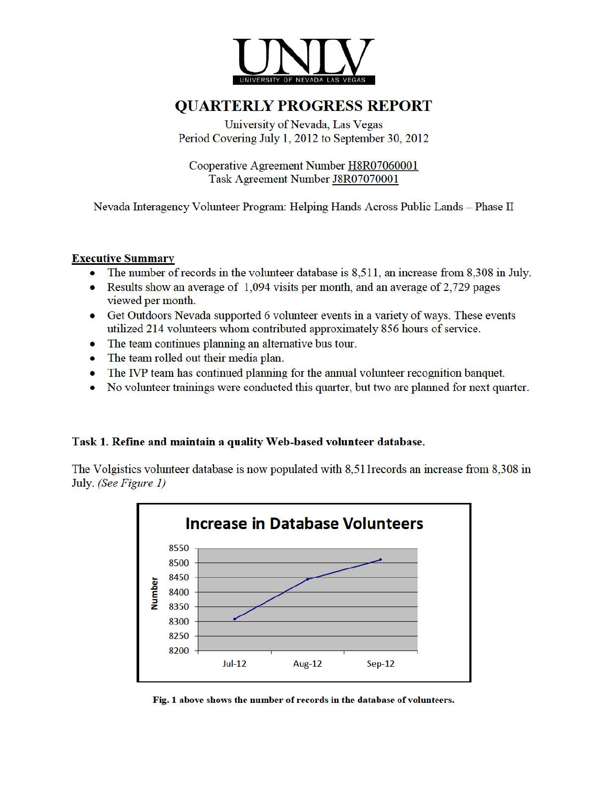

### QUARTERLY PROGRESS REPORT

University of Nevada, Las Vegas Period Covering July 1, 2012 to September 30, 2012

Cooperative Agreement Number H8R07060001 Task Agreement Number J8R07070001

Nevada Interagency Volunteer Program: Helping Hands Across Public Lands - Phase II

#### Executive Summary

- The number of records in the volunteer database is 8,511, an increase from 8,308 in July.
- Results show an average of  $1,094$  visits per month, and an average of 2,729 pages viewed per month.
- Get Outdoors Nevada supported 6 volunteer events in a variety of ways. These events utilized 214 volunteers whom contributed approximately 856 hours of service.
- The team continues planning an altemative bus tour.
- The team rolled out their media plan.
- The IVP team has continued planning for the annual volunteer recognition banquet.
- No volunteer trainings were conducted this quarter, but two are planned for next quarter.

#### Task 1. Refine and maintain a quality Web-based volunteer database.

The Volgistics volunteer database is now populated with 8,511records an increase from 8,308 in July. *(See Figure 1)* 



Fig. 1 above shows the number of records in the database of volunteers.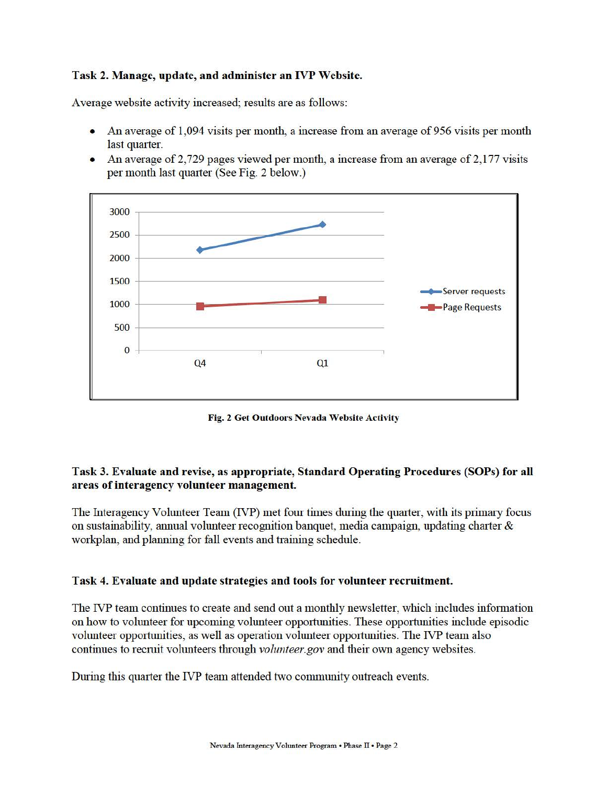#### Task 2. Manage, update, and administer an IVP Website.

Average website activity increased; results are as follows:

- An average of 1,094 visits per month, a increase from an average of 956 visits per month last quarter.
- An average of 2,729 pages viewed per month, a increase from an average of 2,177 visits per month last quarter (See Fig. 2 below.)



Fig. 2 Get Outdoors Nevada Website Activity

#### Task 3. Evaluate and revise, as appropriate, Standard Operating Procedures (SOPs) for all areas of interagency volunteer management.

The Interagency Volunteer Team (IVP) met four times during the quarter, with its primary focus on sustainability, annual volunteer recognition banquet, media campaign, updating charter  $\&$ workplan, and planning for fall events and training schedule.

#### Task 4. Evaluate and update strategies and tools for volunteer recruitment.

The IVP team continues to create and send out a monthly newsletter, which includes information on how to volunteer for upcoming volunteer opportunities. These opportunities include episodic volunteer opportunities, as well as operation volunteer opportunities. The IVP team also continues to recruit volunteers through *volunteer.gov* and their own agency websites.

During this quarter the IVP team attended two community outreach events.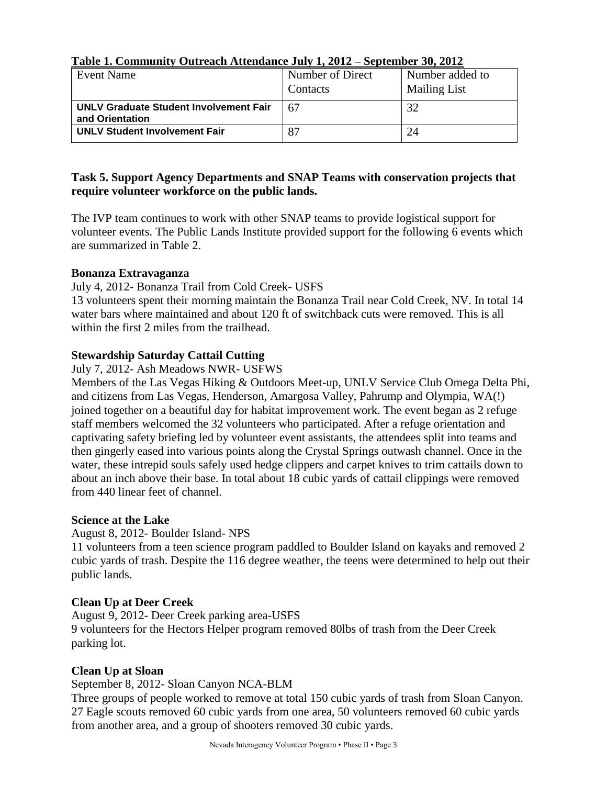| Event Name                                    | Number of Direct | Number added to     |  |
|-----------------------------------------------|------------------|---------------------|--|
|                                               | Contacts         | <b>Mailing List</b> |  |
| <b>UNLV Graduate Student Involvement Fair</b> | 67               | 32                  |  |
| and Orientation                               |                  |                     |  |
| <b>UNLV Student Involvement Fair</b>          | 87               | 24                  |  |

#### **Table 1. Community Outreach Attendance July 1, 2012 – September 30, 2012**

#### **Task 5. Support Agency Departments and SNAP Teams with conservation projects that require volunteer workforce on the public lands.**

The IVP team continues to work with other SNAP teams to provide logistical support for volunteer events. The Public Lands Institute provided support for the following 6 events which are summarized in Table 2.

#### **Bonanza Extravaganza**

July 4, 2012- Bonanza Trail from Cold Creek- USFS

13 volunteers spent their morning maintain the Bonanza Trail near Cold Creek, NV. In total 14 water bars where maintained and about 120 ft of switchback cuts were removed. This is all within the first 2 miles from the trailhead.

#### **Stewardship Saturday Cattail Cutting**

July 7, 2012- Ash Meadows NWR- USFWS

Members of the Las Vegas Hiking & Outdoors Meet-up, UNLV Service Club Omega Delta Phi, and citizens from Las Vegas, Henderson, Amargosa Valley, Pahrump and Olympia, WA(!) joined together on a beautiful day for habitat improvement work. The event began as 2 refuge staff members welcomed the 32 volunteers who participated. After a refuge orientation and captivating safety briefing led by volunteer event assistants, the attendees split into teams and then gingerly eased into various points along the Crystal Springs outwash channel. Once in the water, these intrepid souls safely used hedge clippers and carpet knives to trim cattails down to about an inch above their base. In total about 18 cubic yards of cattail clippings were removed from 440 linear feet of channel.

#### **Science at the Lake**

August 8, 2012- Boulder Island- NPS

11 volunteers from a teen science program paddled to Boulder Island on kayaks and removed 2 cubic yards of trash. Despite the 116 degree weather, the teens were determined to help out their public lands.

#### **Clean Up at Deer Creek**

August 9, 2012- Deer Creek parking area-USFS 9 volunteers for the Hectors Helper program removed 80lbs of trash from the Deer Creek parking lot.

#### **Clean Up at Sloan**

September 8, 2012- Sloan Canyon NCA-BLM

Three groups of people worked to remove at total 150 cubic yards of trash from Sloan Canyon. 27 Eagle scouts removed 60 cubic yards from one area, 50 volunteers removed 60 cubic yards from another area, and a group of shooters removed 30 cubic yards.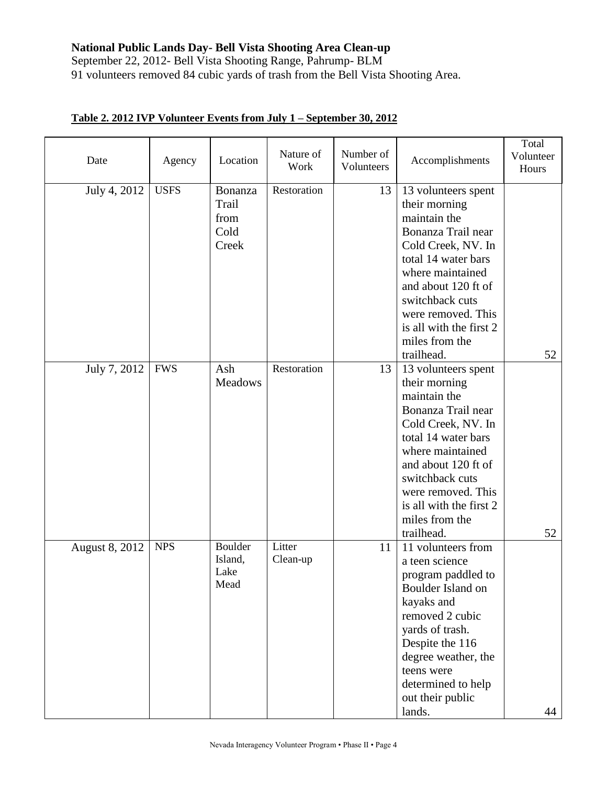#### **National Public Lands Day- Bell Vista Shooting Area Clean-up**

September 22, 2012- Bell Vista Shooting Range, Pahrump- BLM 91 volunteers removed 84 cubic yards of trash from the Bell Vista Shooting Area.

| Date           | Agency      | Location                                  | Nature of<br>Work  | Number of<br>Volunteers | Accomplishments                                                                                                                                                                                                                                                        | Total<br>Volunteer<br>Hours |
|----------------|-------------|-------------------------------------------|--------------------|-------------------------|------------------------------------------------------------------------------------------------------------------------------------------------------------------------------------------------------------------------------------------------------------------------|-----------------------------|
| July 4, 2012   | <b>USFS</b> | Bonanza<br>Trail<br>from<br>Cold<br>Creek | Restoration        | 13                      | 13 volunteers spent<br>their morning<br>maintain the<br>Bonanza Trail near<br>Cold Creek, NV. In<br>total 14 water bars<br>where maintained<br>and about 120 ft of<br>switchback cuts<br>were removed. This<br>is all with the first 2<br>miles from the<br>trailhead. | 52                          |
| July 7, 2012   | <b>FWS</b>  | Ash<br>Meadows                            | Restoration        | 13                      | 13 volunteers spent<br>their morning<br>maintain the<br>Bonanza Trail near<br>Cold Creek, NV. In<br>total 14 water bars<br>where maintained<br>and about 120 ft of<br>switchback cuts<br>were removed. This<br>is all with the first 2<br>miles from the<br>trailhead. | 52                          |
| August 8, 2012 | <b>NPS</b>  | <b>Boulder</b><br>Island,<br>Lake<br>Mead | Litter<br>Clean-up | 11                      | 11 volunteers from<br>a teen science<br>program paddled to<br>Boulder Island on<br>kayaks and<br>removed 2 cubic<br>yards of trash.<br>Despite the 116<br>degree weather, the<br>teens were<br>determined to help<br>out their public<br>lands.                        | 44                          |

#### **Table 2. 2012 IVP Volunteer Events from July 1 – September 30, 2012**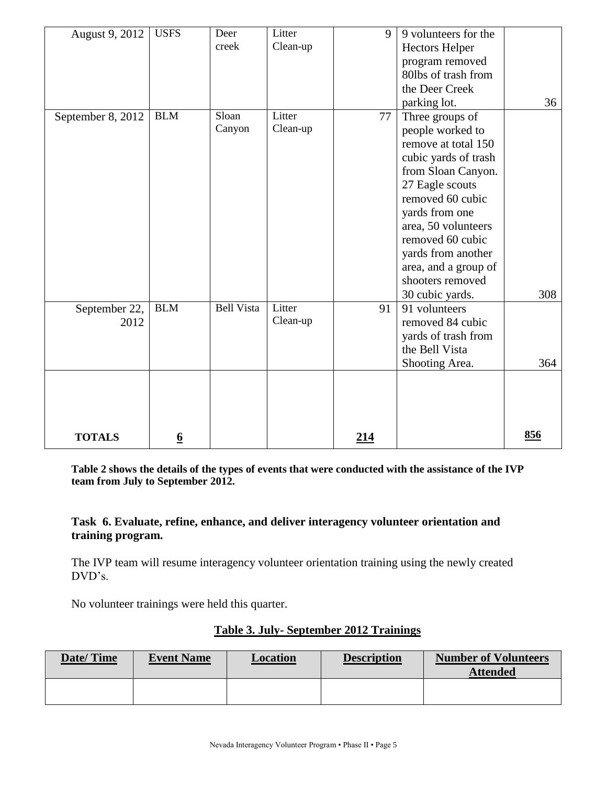| August 9, 2012    | <b>USFS</b>     | Deer              | Litter   | 9   | 9 volunteers for the  |     |
|-------------------|-----------------|-------------------|----------|-----|-----------------------|-----|
|                   |                 | creek             | Clean-up |     | <b>Hectors Helper</b> |     |
|                   |                 |                   |          |     | program removed       |     |
|                   |                 |                   |          |     | 80lbs of trash from   |     |
|                   |                 |                   |          |     | the Deer Creek        |     |
|                   |                 |                   |          |     | parking lot.          | 36  |
| September 8, 2012 | <b>BLM</b>      | Sloan             | Litter   | 77  | Three groups of       |     |
|                   |                 | Canyon            | Clean-up |     | people worked to      |     |
|                   |                 |                   |          |     | remove at total 150   |     |
|                   |                 |                   |          |     | cubic yards of trash  |     |
|                   |                 |                   |          |     | from Sloan Canyon.    |     |
|                   |                 |                   |          |     | 27 Eagle scouts       |     |
|                   |                 |                   |          |     | removed 60 cubic      |     |
|                   |                 |                   |          |     | yards from one        |     |
|                   |                 |                   |          |     | area, 50 volunteers   |     |
|                   |                 |                   |          |     | removed 60 cubic      |     |
|                   |                 |                   |          |     | yards from another    |     |
|                   |                 |                   |          |     | area, and a group of  |     |
|                   |                 |                   |          |     | shooters removed      |     |
|                   |                 |                   |          |     | 30 cubic yards.       | 308 |
| September 22,     | <b>BLM</b>      | <b>Bell Vista</b> | Litter   | 91  | 91 volunteers         |     |
| 2012              |                 |                   | Clean-up |     | removed 84 cubic      |     |
|                   |                 |                   |          |     | yards of trash from   |     |
|                   |                 |                   |          |     | the Bell Vista        |     |
|                   |                 |                   |          |     | Shooting Area.        | 364 |
|                   |                 |                   |          |     |                       |     |
|                   |                 |                   |          |     |                       |     |
|                   |                 |                   |          |     |                       |     |
|                   |                 |                   |          |     |                       |     |
| <b>TOTALS</b>     | $\underline{6}$ |                   |          | 214 |                       | 856 |

**Table 2 shows the details of the types of events that were conducted with the assistance of the IVP team from July to September 2012.**

#### **Task 6. Evaluate, refine, enhance, and deliver interagency volunteer orientation and training program.**

The IVP team will resume interagency volunteer orientation training using the newly created DVD's.

No volunteer trainings were held this quarter.

| Date/Time | <b>Event Name</b><br><b>Location</b> |  | <b>Description</b> | <b>Number of Volunteers</b><br><b>Attended</b> |
|-----------|--------------------------------------|--|--------------------|------------------------------------------------|
|           |                                      |  |                    |                                                |

#### **Table 3. July- September 2012 Trainings**